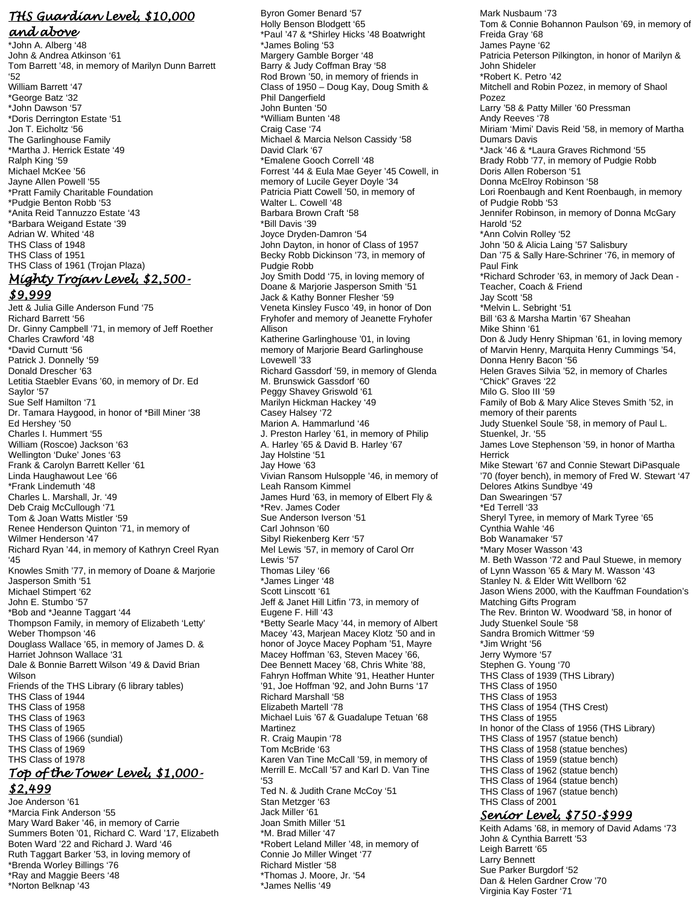## *THS Guardian Level, \$10,000*

*and above* \*John A. Alberg '48 John & Andrea Atkinson '61 Tom Barrett '48, in memory of Marilyn Dunn Barrett '52 William Barrett '47 \*George Batz '32 \*John Dawson '57 \*Doris Derrington Estate '51 Jon T. Eicholtz '56 The Garlinghouse Family \*Martha J. Herrick Estate '49 Ralph King '59 Michael McKee '56 Jayne Allen Powell '55 \*Pratt Family Charitable Foundation \*Pudgie Benton Robb '53 \*Anita Reid Tannuzzo Estate '43 \*Barbara Weigand Estate '39 Adrian W. Whited '48 THS Class of 1948 THS Class of 1951 THS Class of 1961 (Trojan Plaza) *Mighty Trojan Level, \$2,500- \$9,999* 

Jett & Julia Gille Anderson Fund '75 Richard Barrett '56 Dr. Ginny Campbell '71, in memory of Jeff Roether Charles Crawford '48 \*David Curnutt '56 Patrick J. Donnelly '59 Donald Drescher '63 Letitia Staebler Evans '60, in memory of Dr. Ed Saylor '57 Sue Self Hamilton '71 Dr. Tamara Haygood, in honor of \*Bill Miner '38 Ed Hershey '50 Charles I. Hummert '55 William (Roscoe) Jackson '63 Wellington 'Duke' Jones '63 Frank & Carolyn Barrett Keller '61 Linda Haughawout Lee '66 \*Frank Lindemuth '48 Charles L. Marshall, Jr. '49 Deb Craig McCullough '71 Tom & Joan Watts Mistler '59 Renee Henderson Quinton '71, in memory of Wilmer Henderson '47 Richard Ryan '44, in memory of Kathryn Creel Ryan '45 Knowles Smith '77, in memory of Doane & Marjorie Jasperson Smith '51 Michael Stimpert '62 John E. Stumbo '57 \*Bob and \*Jeanne Taggart '44 Thompson Family, in memory of Elizabeth 'Letty' Weber Thompson '46 Douglass Wallace '65, in memory of James D. & Harriet Johnson Wallace '31 Dale & Bonnie Barrett Wilson '49 & David Brian Wilson Friends of the THS Library (6 library tables) THS Class of 1944 THS Class of 1958 THS Class of 1963 THS Class of 1965 THS Class of 1966 (sundial) THS Class of 1969 THS Class of 1978 *Top of the Tower Level, \$1,000- \$2,499*  Joe Anderson '61

\*Marcia Fink Anderson '55 Mary Ward Baker '46, in memory of Carrie Summers Boten '01, Richard C. Ward '17, Elizabeth Boten Ward '22 and Richard J. Ward '46 Ruth Taggart Barker '53, in loving memory of \*Brenda Worley Billings '76 \*Ray and Maggie Beers '48 \*Norton Belknap '43

Byron Gomer Benard '57 Holly Benson Blodgett '65 \*Paul '47 & \*Shirley Hicks '48 Boatwright \*James Boling '53 Margery Gamble Borger '48 Barry & Judy Coffman Bray '58 Rod Brown '50, in memory of friends in Class of 1950 – Doug Kay, Doug Smith & Phil Dangerfield John Bunten '50 \*William Bunten '48 Craig Case '74 Michael & Marcia Nelson Cassidy '58 David Clark '67 \*Emalene Gooch Correll '48 Forrest '44 & Eula Mae Geyer '45 Cowell, in memory of Lucile Geyer Doyle '34 Patricia Piatt Cowell '50, in memory of Walter L. Cowell '48 Barbara Brown Craft '58 \*Bill Davis '39 Joyce Dryden-Damron '54 John Dayton, in honor of Class of 1957 Becky Robb Dickinson '73, in memory of Pudgie Robb Joy Smith Dodd '75, in loving memory of Doane & Marjorie Jasperson Smith '51 Jack & Kathy Bonner Flesher '59 Veneta Kinsley Fusco '49, in honor of Don Fryhofer and memory of Jeanette Fryhofer Allison Katherine Garlinghouse '01, in loving memory of Marjorie Beard Garlinghouse Lovewell '33 Richard Gassdorf '59, in memory of Glenda M. Brunswick Gassdorf '60 Peggy Shavey Griswold '61 Marilyn Hickman Hackey '49 Casey Halsey '72 Marion A. Hammarlund '46 J. Preston Harley '61, in memory of Philip A. Harley '65 & David B. Harley '67 Jay Holstine '51 Jay Howe '63 Vivian Ransom Hulsopple '46, in memory of Leah Ransom Kimmel James Hurd '63, in memory of Elbert Fly & \*Rev. James Coder Sue Anderson Iverson '51 Carl Johnson '60 Sibyl Riekenberg Kerr '57 Mel Lewis '57, in memory of Carol Orr Lewis '57 Thomas Liley '66 \*James Linger '48 Scott Linscott '61 Jeff & Janet Hill Litfin '73, in memory of Eugene F. Hill '43 \*Betty Searle Macy '44, in memory of Albert Macey '43, Marjean Macey Klotz '50 and in honor of Joyce Macey Popham '51, Mayre Macey Hoffman '63, Steven Macey '66, Dee Bennett Macey '68, Chris White '88, Fahryn Hoffman White '91, Heather Hunter '91, Joe Hoffman '92, and John Burns '17 Richard Marshall '58 Elizabeth Martell '78 Michael Luis '67 & Guadalupe Tetuan '68 Martinez R. Craig Maupin '78 Tom McBride '63 Karen Van Tine McCall '59, in memory of Merrill E. McCall '57 and Karl D. Van Tine '53 Ted N. & Judith Crane McCoy '51 Stan Metzger '63 Jack Miller '61 Joan Smith Miller '51 \*M. Brad Miller '47 \*Robert Leland Miller '48, in memory of Connie Jo Miller Winget '77 Richard Mistler '58 \*Thomas J. Moore, Jr. '54 \*James Nellis '49

Mark Nusbaum '73 Tom & Connie Bohannon Paulson '69, in memory of Freida Gray '68 James Payne '62 Patricia Peterson Pilkington, in honor of Marilyn & John Shideler \*Robert K. Petro '42 Mitchell and Robin Pozez, in memory of Shaol Pozez Larry '58 & Patty Miller '60 Pressman Andy Reeves '78 Miriam 'Mimi' Davis Reid '58, in memory of Martha Dumars Davis \*Jack '46 & \*Laura Graves Richmond '55 Brady Robb '77, in memory of Pudgie Robb Doris Allen Roberson '51 Donna McElroy Robinson '58 Lori Roenbaugh and Kent Roenbaugh, in memory of Pudgie Robb '53 Jennifer Robinson, in memory of Donna McGary Harold '52 \*Ann Colvin Rolley '52 John '50 & Alicia Laing '57 Salisbury Dan '75 & Sally Hare-Schriner '76, in memory of Paul Fink \*Richard Schroder '63, in memory of Jack Dean - Teacher, Coach & Friend Jay Scott '58 \*Melvin L. Sebright '51 Bill '63 & Marsha Martin '67 Sheahan Mike Shinn '61 Don & Judy Henry Shipman '61, in loving memory of Marvin Henry, Marquita Henry Cummings '54, Donna Henry Bacon '56 Helen Graves Silvia '52, in memory of Charles "Chick" Graves '22 Milo G. Sloo III '59 Family of Bob & Mary Alice Steves Smith '52, in memory of their parents Judy Stuenkel Soule '58, in memory of Paul L. Stuenkel, Jr. '55 James Love Stephenson '59, in honor of Martha Herrick Mike Stewart '67 and Connie Stewart DiPasquale '70 (foyer bench), in memory of Fred W. Stewart '47 Delores Atkins Sundbye '49 Dan Swearingen '57 \*Ed Terrell '33 Sheryl Tyree, in memory of Mark Tyree '65 Cynthia Wahle '46 Bob Wanamaker '57 \*Mary Moser Wasson '43 M. Beth Wasson '72 and Paul Stuewe, in memory of Lynn Wasson '65 & Mary M. Wasson '43 Stanley N. & Elder Witt Wellborn '62 Jason Wiens 2000, with the Kauffman Foundation's Matching Gifts Program The Rev. Brinton W. Woodward '58, in honor of Judy Stuenkel Soule '58 Sandra Bromich Wittmer '59 \*Jim Wright '56 Jerry Wymore '57 Stephen G. Young '70 THS Class of 1939 (THS Library) THS Class of 1950 THS Class of 1953 THS Class of 1954 (THS Crest) THS Class of 1955 In honor of the Class of 1956 (THS Library) THS Class of 1957 (statue bench) THS Class of 1958 (statue benches) THS Class of 1959 (statue bench) THS Class of 1962 (statue bench) THS Class of 1964 (statue bench) THS Class of 1967 (statue bench) THS Class of 2001 *Senior Level, \$750-\$999* 

Keith Adams '68, in memory of David Adams '73 John & Cynthia Barrett '53 Leigh Barrett '65 Larry Bennett Sue Parker Burgdorf '52 Dan & Helen Gardner Crow '70 Virginia Kay Foster '71